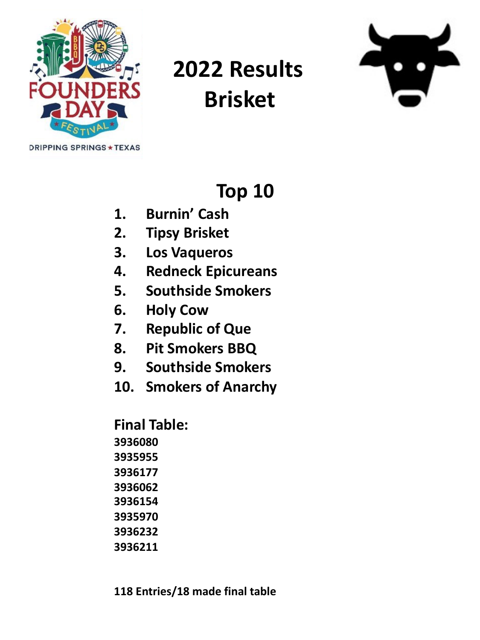

# **2022 Results Brisket**



#### **Top 10**

- **1. Burnin' Cash**
- **2. Tipsy Brisket**
- **3. Los Vaqueros**
- **4. Redneck Epicureans**
- **5. Southside Smokers**
- **6. Holy Cow**
- **7. Republic of Que**
- **8. Pit Smokers BBQ**
- **9. Southside Smokers**
- **10. Smokers of Anarchy**

**118 Entries/18 made final table**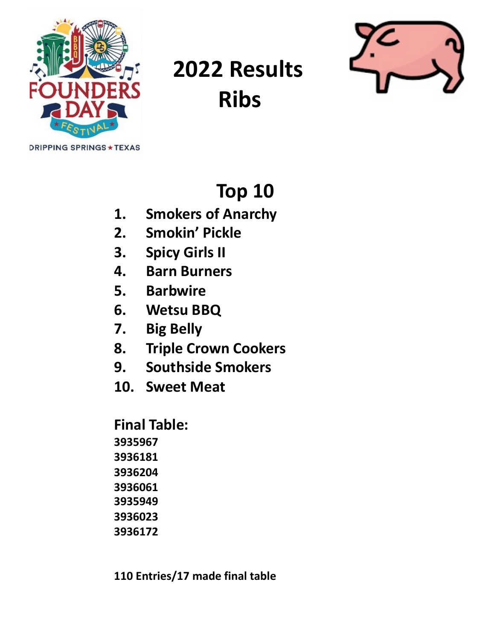

# **2022 Results Ribs**



### **Top 10**

- **1. Smokers of Anarchy**
- **2. Smokin' Pickle**
- **3. Spicy Girls II**
- **4. Barn Burners**
- **5. Barbwire**
- **6. Wetsu BBQ**
- **7. Big Belly**
- **8. Triple Crown Cookers**
- **9. Southside Smokers**
- **10. Sweet Meat**

**110 Entries/17 made final table**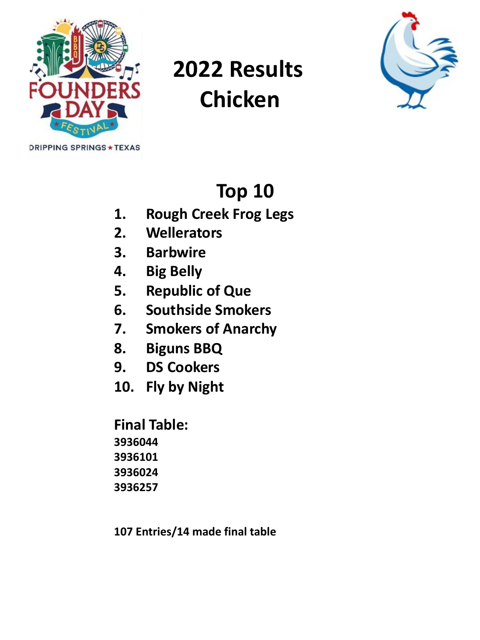

# **2022 Results Chicken**



### **Top 10**

- **1. Rough Creek Frog Legs**
- **2. Wellerators**
- **3. Barbwire**
- **4. Big Belly**
- **5. Republic of Que**
- **6. Southside Smokers**
- **7. Smokers of Anarchy**
- **8. Biguns BBQ**
- **9. DS Cookers**
- **10. Fly by Night**

**Final Table: 3936044 3936101 3936024 3936257**

**107 Entries/14 made final table**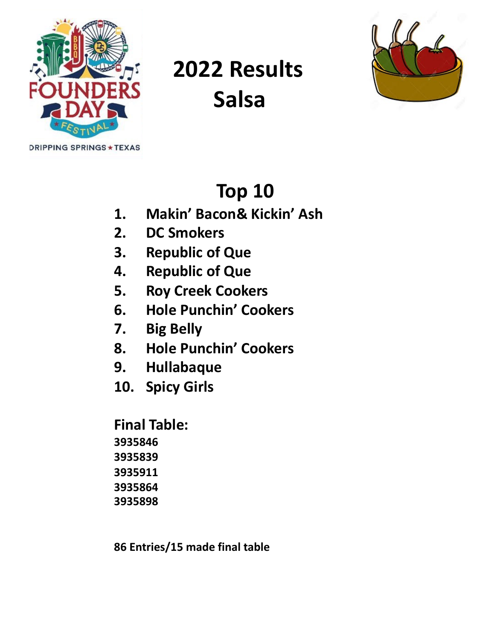

## **2022 Results Salsa**



### **Top 10**

- **1. Makin' Bacon& Kickin' Ash**
- **2. DC Smokers**
- **3. Republic of Que**
- **4. Republic of Que**
- **5. Roy Creek Cookers**
- **6. Hole Punchin' Cookers**
- **7. Big Belly**
- **8. Hole Punchin' Cookers**
- **9. Hullabaque**
- **10. Spicy Girls**

**86 Entries/15 made final table**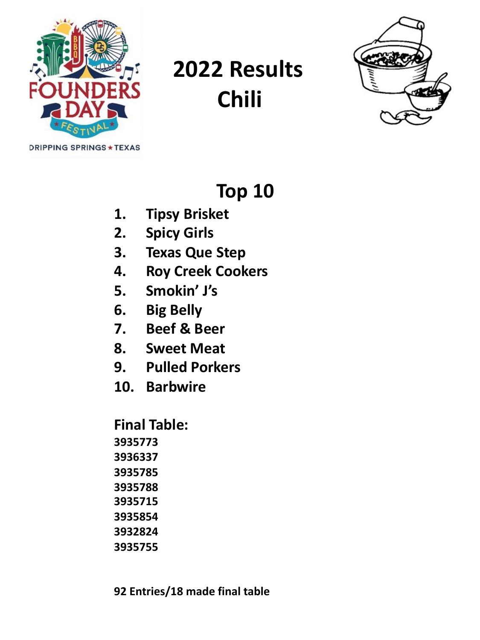

## **2022 Results Chili**



#### **Top 10**

- **1. Tipsy Brisket**
- **2. Spicy Girls**
- **3. Texas Que Step**
- **4. Roy Creek Cookers**
- **5. Smokin' J's**
- **6. Big Belly**
- **7. Beef & Beer**
- **8. Sweet Meat**
- **9. Pulled Porkers**
- **10. Barbwire**

- **3932824**
- **3935755**

**92 Entries/18 made final table**